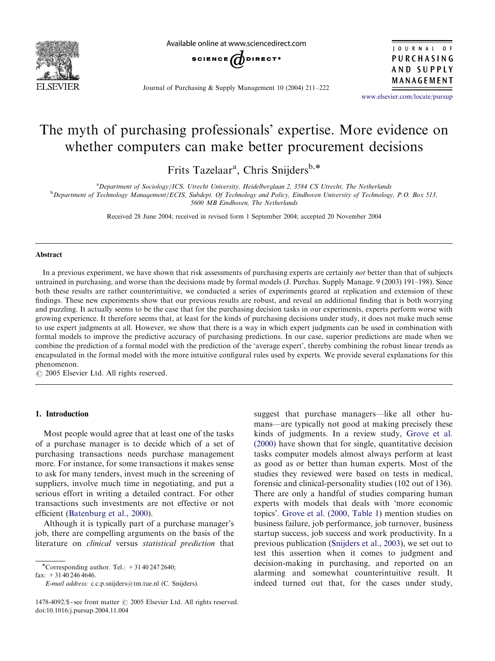

Available online at www.sciencedirect.com



JOURNAL OF **PURCHASING** AND SUPPLY MANAGEMENT

Journal of Purchasing & Supply Management 10 (2004) 211–222

<www.elsevier.com/locate/pursup>

# The myth of purchasing professionals' expertise. More evidence on whether computers can make better procurement decisions

Frits Tazelaar<sup>a</sup>, Chris Snijders<sup>b,\*</sup>

a Department of Sociology/ICS, Utrecht University, Heidelberglaan 2, 3584 CS Utrecht, The Netherlands

**b** Department of Technology Management/ECIS, Subdept. Of Technology and Policy, Eindhoven University of Technology, P.O. Box 513,

5600 MB Eindhoven, The Netherlands

Received 28 June 2004; received in revised form 1 September 2004; accepted 20 November 2004

#### Abstract

In a previous experiment, we have shown that risk assessments of purchasing experts are certainly *not* better than that of subjects untrained in purchasing, and worse than the decisions made by formal models (J. Purchas. Supply Manage. 9 (2003) 191–198). Since both these results are rather counterintuitive, we conducted a series of experiments geared at replication and extension of these findings. These new experiments show that our previous results are robust, and reveal an additional finding that is both worrying and puzzling. It actually seems to be the case that for the purchasing decision tasks in our experiments, experts perform worse with growing experience. It therefore seems that, at least for the kinds of purchasing decisions under study, it does not make much sense to use expert judgments at all. However, we show that there is a way in which expert judgments can be used in combination with formal models to improve the predictive accuracy of purchasing predictions. In our case, superior predictions are made when we combine the prediction of a formal model with the prediction of the 'average expert', thereby combining the robust linear trends as encapsulated in the formal model with the more intuitive configural rules used by experts. We provide several explanations for this phenomenon.

 $\odot$  2005 Elsevier Ltd. All rights reserved.

### 1. Introduction

Most people would agree that at least one of the tasks of a purchase manager is to decide which of a set of purchasing transactions needs purchase management more. For instance, for some transactions it makes sense to ask for many tenders, invest much in the screening of suppliers, involve much time in negotiating, and put a serious effort in writing a detailed contract. For other transactions such investments are not effective or not efficient ([Batenburg et al., 2000](#page--1-0)).

Although it is typically part of a purchase manager's job, there are compelling arguments on the basis of the literature on clinical versus statistical prediction that

\*Corresponding author. Tel.:  $+31402472640$ ;

fax: +31 40 246 4646.

E-mail address: c.c.p.snijders@tm.tue.nl (C. Snijders).

suggest that purchase managers—like all other humans—are typically not good at making precisely these kinds of judgments. In a review study, [Grove et al.](#page--1-0) [\(2000\)](#page--1-0) have shown that for single, quantitative decision tasks computer models almost always perform at least as good as or better than human experts. Most of the studies they reviewed were based on tests in medical, forensic and clinical-personality studies (102 out of 136). There are only a handful of studies comparing human experts with models that deals with 'more economic topics'. [Grove et al. \(2000,](#page--1-0) [Table 1](#page-1-0)) mention studies on business failure, job performance, job turnover, business startup success, job success and work productivity. In a previous publication ([Snijders et al., 2003\)](#page--1-0), we set out to test this assertion when it comes to judgment and decision-making in purchasing, and reported on an alarming and somewhat counterintuitive result. It indeed turned out that, for the cases under study,

<sup>1478-4092/\$ -</sup> see front matter  $\odot$  2005 Elsevier Ltd. All rights reserved. doi:10.1016/j.pursup.2004.11.004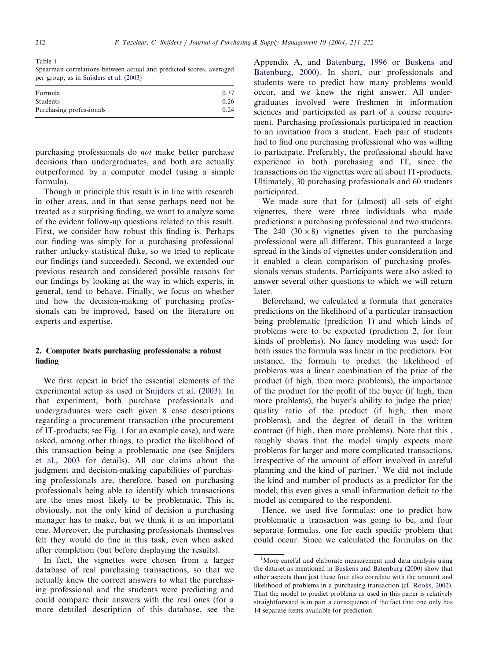<span id="page-1-0"></span>Table 1

Spearman correlations between actual and predicted scores, averaged per group, as in [Snijders et al. \(2003\)](#page--1-0)

| Formula                  | 0.37 |
|--------------------------|------|
| Students                 | 0.26 |
| Purchasing professionals | 0.24 |
|                          |      |

purchasing professionals do not make better purchase decisions than undergraduates, and both are actually outperformed by a computer model (using a simple formula).

Though in principle this result is in line with research in other areas, and in that sense perhaps need not be treated as a surprising finding, we want to analyze some of the evident follow-up questions related to this result. First, we consider how robust this finding is. Perhaps our finding was simply for a purchasing professional rather unlucky statistical fluke, so we tried to replicate our findings (and succeeded). Second, we extended our previous research and considered possible reasons for our findings by looking at the way in which experts, in general, tend to behave. Finally, we focus on whether and how the decision-making of purchasing professionals can be improved, based on the literature on experts and expertise.

### 2. Computer beats purchasing professionals: a robust finding

We first repeat in brief the essential elements of the experimental setup as used in [Snijders et al. \(2003\).](#page--1-0) In that experiment, both purchase professionals and undergraduates were each given 8 case descriptions regarding a procurement transaction (the procurement of IT-products; see [Fig. 1](#page--1-0) for an example case), and were asked, among other things, to predict the likelihood of this transaction being a problematic one (see [Snijders](#page--1-0) [et al., 2003](#page--1-0) for details). All our claims about the judgment and decision-making capabilities of purchasing professionals are, therefore, based on purchasing professionals being able to identify which transactions are the ones most likely to be problematic. This is, obviously, not the only kind of decision a purchasing manager has to make, but we think it is an important one. Moreover, the purchasing professionals themselves felt they would do fine in this task, even when asked after completion (but before displaying the results).

In fact, the vignettes were chosen from a larger database of real purchasing transactions, so that we actually knew the correct answers to what the purchasing professional and the students were predicting and could compare their answers with the real ones (for a more detailed description of this database, see the AppendixA, and [Batenburg, 1996](#page--1-0) or [Buskens and](#page--1-0) [Batenburg, 2000](#page--1-0)). In short, our professionals and students were to predict how many problems would occur, and we knew the right answer. All undergraduates involved were freshmen in information sciences and participated as part of a course requirement. Purchasing professionals participated in reaction to an invitation from a student. Each pair of students had to find one purchasing professional who was willing to participate. Preferably, the professional should have experience in both purchasing and IT, since the transactions on the vignettes were all about IT-products. Ultimately, 30 purchasing professionals and 60 students participated.

We made sure that for (almost) all sets of eight vignettes, there were three individuals who made predictions: a purchasing professional and two students. The 240  $(30 \times 8)$  vignettes given to the purchasing professional were all different. This guaranteed a large spread in the kinds of vignettes under consideration and it enabled a clean comparison of purchasing professionals versus students. Participants were also asked to answer several other questions to which we will return later.

Beforehand, we calculated a formula that generates predictions on the likelihood of a particular transaction being problematic (prediction 1) and which kinds of problems were to be expected (prediction 2, for four kinds of problems). No fancy modeling was used: for both issues the formula was linear in the predictors. For instance, the formula to predict the likelihood of problems was a linear combination of the price of the product (if high, then more problems), the importance of the product for the profit of the buyer (if high, then more problems), the buyer's ability to judge the price/ quality ratio of the product (if high, then more problems), and the degree of detail in the written contract (if high, then more problems). Note that this , roughly shows that the model simply expects more problems for larger and more complicated transactions, irrespective of the amount of effort involved in careful planning and the kind of partner.<sup>1</sup> We did not include the kind and number of products as a predictor for the model; this even gives a small information deficit to the model as compared to the respondent.

Hence, we used five formulas: one to predict how problematic a transaction was going to be, and four separate formulas, one for each specific problem that could occur. Since we calculated the formulas on the

<sup>&</sup>lt;sup>1</sup>More careful and elaborate measurement and data analysis using the dataset as mentioned in [Buskens and Batenburg \(2000\)](#page--1-0) show that other aspects than just these four also correlate with the amount and likelihood of problems in a purchasing transaction (cf. [Rooks, 2002\)](#page--1-0). That the model to predict problems as used in this paper is relatively straightforward is in part a consequence of the fact that one only has 14 separate items available for prediction.